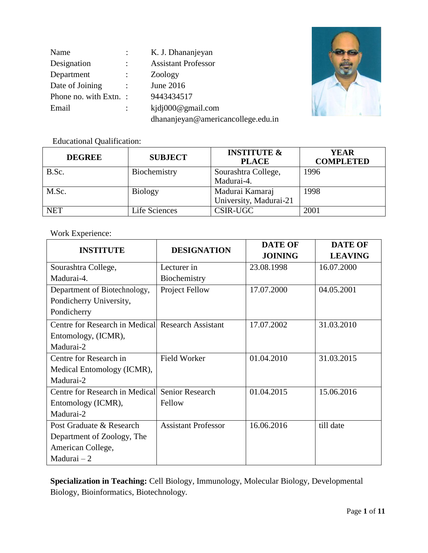| Name                   |                      | K. J. Dhananjeyan                  |
|------------------------|----------------------|------------------------------------|
| Designation            |                      | <b>Assistant Professor</b>         |
| Department             |                      | Zoology                            |
| Date of Joining        | $\ddot{\phantom{a}}$ | June 2016                          |
| Phone no. with Extn. : |                      | 9443434517                         |
| Email                  |                      | kjdj000@gmail.com                  |
|                        |                      | dhananjeyan@americancollege.edu.in |



Educational Qualification:

| <b>DEGREE</b> | <b>SUBJECT</b> | <b>INSTITUTE &amp;</b><br><b>PLACE</b>    | <b>YEAR</b><br><b>COMPLETED</b> |
|---------------|----------------|-------------------------------------------|---------------------------------|
| B.Sc.         | Biochemistry   | Sourashtra College,<br>Madurai-4.         | 1996                            |
| M.Sc.         | <b>Biology</b> | Madurai Kamaraj<br>University, Madurai-21 | 1998                            |
| <b>NET</b>    | Life Sciences  | <b>CSIR-UGC</b>                           | 2001                            |

## Work Experience:

| <b>INSTITUTE</b>                                  | <b>DESIGNATION</b>         | <b>DATE OF</b> | <b>DATE OF</b> |
|---------------------------------------------------|----------------------------|----------------|----------------|
|                                                   |                            | <b>JOINING</b> | <b>LEAVING</b> |
| Sourashtra College,                               | Lecturer in                | 23.08.1998     | 16.07.2000     |
| Madurai-4.                                        | Biochemistry               |                |                |
| Department of Biotechnology,                      | Project Fellow             | 17.07.2000     | 04.05.2001     |
| Pondicherry University,                           |                            |                |                |
| Pondicherry                                       |                            |                |                |
| Centre for Research in Medical Research Assistant |                            | 17.07.2002     | 31.03.2010     |
| Entomology, (ICMR),                               |                            |                |                |
| Madurai-2                                         |                            |                |                |
| Centre for Research in                            | <b>Field Worker</b>        | 01.04.2010     | 31.03.2015     |
| Medical Entomology (ICMR),                        |                            |                |                |
| Madurai-2                                         |                            |                |                |
| Centre for Research in Medical                    | Senior Research            | 01.04.2015     | 15.06.2016     |
| Entomology (ICMR),                                | Fellow                     |                |                |
| Madurai-2                                         |                            |                |                |
| Post Graduate & Research                          | <b>Assistant Professor</b> | 16.06.2016     | till date      |
| Department of Zoology, The                        |                            |                |                |
| American College,                                 |                            |                |                |
| Madurai $-2$                                      |                            |                |                |

**Specialization in Teaching:** Cell Biology, Immunology, Molecular Biology, Developmental Biology, Bioinformatics, Biotechnology.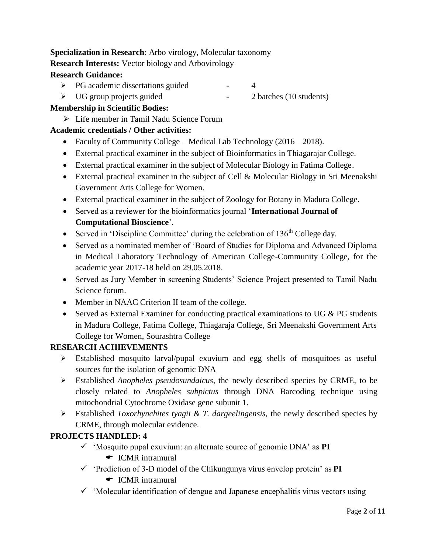# **Specialization in Research**: Arbo virology, Molecular taxonomy

# **Research Interests:** Vector biology and Arbovirology

## **Research Guidance:**

- PG academic dissertations guided 4
- > UG group projects guided 2 batches (10 students)
- 

# **Membership in Scientific Bodies:**

 $\triangleright$  Life member in Tamil Nadu Science Forum

# **Academic credentials / Other activities:**

- Faculty of Community College Medical Lab Technology (2016 2018).
- External practical examiner in the subject of Bioinformatics in Thiagarajar College.
- External practical examiner in the subject of Molecular Biology in Fatima College.
- External practical examiner in the subject of Cell & Molecular Biology in Sri Meenakshi Government Arts College for Women.
- External practical examiner in the subject of Zoology for Botany in Madura College.
- Served as a reviewer for the bioinformatics journal "**International Journal of Computational Bioscience**".
- Served in 'Discipline Committee' during the celebration of  $136<sup>th</sup>$  College day.
- Served as a nominated member of "Board of Studies for Diploma and Advanced Diploma in Medical Laboratory Technology of American College-Community College, for the academic year 2017-18 held on 29.05.2018.
- Served as Jury Member in screening Students' Science Project presented to Tamil Nadu Science forum.
- Member in NAAC Criterion II team of the college.
- Served as External Examiner for conducting practical examinations to UG & PG students in Madura College, Fatima College, Thiagaraja College, Sri Meenakshi Government Arts College for Women, Sourashtra College

# **RESEARCH ACHIEVEMENTS**

- Established mosquito larval/pupal exuvium and egg shells of mosquitoes as useful sources for the isolation of genomic DNA
- Established *Anopheles pseudosundaicus*, the newly described species by CRME, to be closely related to *Anopheles subpictus* through DNA Barcoding technique using mitochondrial Cytochrome Oxidase gene subunit 1.
- Established *Toxorhynchites tyagii & T. dargeelingensis,* the newly described species by CRME, through molecular evidence.

# **PROJECTS HANDLED: 4**

- $\checkmark$  'Mosquito pupal exuvium: an alternate source of genomic DNA' as **PI** 
	- **►** ICMR intramural
- $\checkmark$  'Prediction of 3-D model of the Chikungunya virus envelop protein' as **PI** 
	- $\bullet$  ICMR intramural
- $\checkmark$  'Molecular identification of dengue and Japanese encephalitis virus vectors using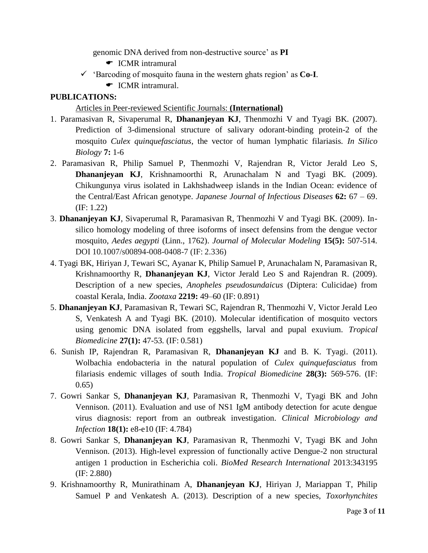genomic DNA derived from non-destructive source" as **PI**

- **←** ICMR intramural
- $\checkmark$  'Barcoding of mosquito fauna in the western ghats region' as **Co-I**.
	- $\bullet$  ICMR intramural.

#### **PUBLICATIONS:**

#### Articles in Peer-reviewed Scientific Journals: **(International)**

- 1. Paramasivan R, Sivaperumal R, **Dhananjeyan KJ**, Thenmozhi V and Tyagi BK. (2007). Prediction of 3-dimensional structure of salivary odorant-binding protein-2 of the mosquito *Culex quinquefasciatus*, the vector of human lymphatic filariasis. *In Silico Biology* **7:** 1-6
- 2. Paramasivan R, Philip Samuel P, Thenmozhi V, Rajendran R, Victor Jerald Leo S, **Dhananjeyan KJ**, Krishnamoorthi R, Arunachalam N and Tyagi BK. (2009). Chikungunya virus isolated in Lakhshadweep islands in the Indian Ocean: evidence of the Central/East African genotype. *Japanese Journal of Infectious Diseases* **62:** 67 – 69. (IF: 1.22)
- 3. **Dhananjeyan KJ**, Sivaperumal R, Paramasivan R, Thenmozhi V and Tyagi BK. (2009). Insilico homology modeling of three isoforms of insect defensins from the dengue vector mosquito, *Aedes aegypti* (Linn., 1762). *Journal of Molecular Modeling* **15(5):** 507-514. DOI 10.1007/s00894-008-0408-7 (IF: 2.336)
- 4. Tyagi BK, Hiriyan J, Tewari SC, Ayanar K, Philip Samuel P, Arunachalam N, Paramasivan R, Krishnamoorthy R, **Dhananjeyan KJ**, Victor Jerald Leo S and Rajendran R. (2009). Description of a new species, *Anopheles pseudosundaicus* (Diptera: Culicidae) from coastal Kerala, India. *Zootaxa* **2219:** 49–60 (IF: 0.891)
- 5. **Dhananjeyan KJ**, Paramasivan R, Tewari SC, Rajendran R, Thenmozhi V, Victor Jerald Leo S, Venkatesh A and Tyagi BK. (2010). Molecular identification of mosquito vectors using genomic DNA isolated from eggshells, larval and pupal exuvium. *Tropical Biomedicine* **27(1):** 47-53*.* (IF: 0.581)
- 6. Sunish IP, Rajendran R, Paramasivan R, **Dhananjeyan KJ** and B. K. Tyagi. (2011). Wolbachia endobacteria in the natural population of *Culex quinquefasciatus* from filariasis endemic villages of south India. *Tropical Biomedicine* **28(3):** 569-576. (IF: 0.65)
- 7. Gowri Sankar S, **Dhananjeyan KJ**, Paramasivan R, Thenmozhi V, Tyagi BK and John Vennison. (2011). Evaluation and use of NS1 IgM antibody detection for acute dengue virus diagnosis: report from an outbreak investigation. *Clinical Microbiology and Infection* **18(1):** e8-e10 (IF: 4.784)
- 8. Gowri Sankar S, **Dhananjeyan KJ**, Paramasivan R, Thenmozhi V, Tyagi BK and John Vennison. (2013). High-level expression of functionally active Dengue-2 non structural antigen 1 production in Escherichia coli. *BioMed Research International* 2013:343195 (IF: 2.880)
- 9. Krishnamoorthy R, Munirathinam A, **Dhananjeyan KJ**, Hiriyan J, Mariappan T, Philip Samuel P and Venkatesh A. (2013). Description of a new species, *Toxorhynchites*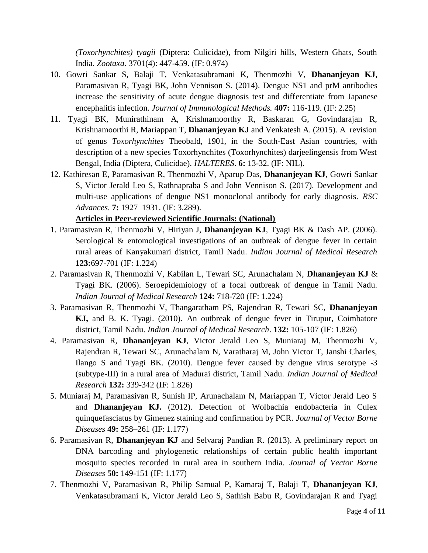*(Toxorhynchites) tyagii* (Diptera: Culicidae), from Nilgiri hills, Western Ghats, South India. *Zootaxa*. 3701(4): 447-459. (IF: 0.974)

- 10. Gowri Sankar S, Balaji T, Venkatasubramani K, Thenmozhi V, **Dhananjeyan KJ**, Paramasivan R, Tyagi BK, John Vennison S. (2014). Dengue NS1 and prM antibodies increase the sensitivity of acute dengue diagnosis test and differentiate from Japanese encephalitis infection. *Journal of Immunological Methods.* **407:** 116-119. (IF: 2.25)
- 11. Tyagi BK, Munirathinam A, Krishnamoorthy R, Baskaran G, Govindarajan R, Krishnamoorthi R, Mariappan T, **Dhananjeyan KJ** and Venkatesh A. (2015). A revision of genus *Toxorhynchites* Theobald, 1901, in the South-East Asian countries, with description of a new species Toxorhynchites (Toxorhynchites) darjeelingensis from West Bengal, India (Diptera, Culicidae). *HALTERES*. **6:** 13-32. (IF: NIL).
- 12. Kathiresan E, Paramasivan R, Thenmozhi V, Aparup Das, **Dhananjeyan KJ**, Gowri Sankar S, Victor Jerald Leo S, Rathnapraba S and John Vennison S. (2017). Development and multi-use applications of dengue NS1 monoclonal antibody for early diagnosis. *RSC Advances*. **7:** 1927–1931. (IF: 3.289).

### **Articles in Peer-reviewed Scientific Journals: (National)**

- 1. Paramasivan R, Thenmozhi V, Hiriyan J, **Dhananjeyan KJ**, Tyagi BK & Dash AP. (2006). Serological & entomological investigations of an outbreak of dengue fever in certain rural areas of Kanyakumari district, Tamil Nadu. *Indian Journal of Medical Research*  **123:**697-701 (IF: 1.224)
- 2. Paramasivan R, Thenmozhi V, Kabilan L, Tewari SC, Arunachalam N, **Dhananjeyan KJ** & Tyagi BK. (2006). Seroepidemiology of a focal outbreak of dengue in Tamil Nadu. *Indian Journal of Medical Research* **124:** 718-720 (IF: 1.224)
- 3. Paramasivan R, Thenmozhi V, Thangaratham PS, Rajendran R, Tewari SC, **Dhananjeyan KJ,** and B. K. Tyagi. (2010). An outbreak of dengue fever in Tirupur, Coimbatore district, Tamil Nadu. *Indian Journal of Medical Research*. **132:** 105-107 (IF: 1.826)
- 4. Paramasivan R, **Dhananjeyan KJ**, Victor Jerald Leo S, Muniaraj M, Thenmozhi V, Rajendran R, Tewari SC, Arunachalam N, Varatharaj M, John Victor T, Janshi Charles, Ilango S and Tyagi BK. (2010). Dengue fever caused by dengue virus serotype -3 (subtype-III) in a rural area of Madurai district, Tamil Nadu. *Indian Journal of Medical Research* **132:** 339-342 (IF: 1.826)
- 5. Muniaraj M, Paramasivan R, Sunish IP, Arunachalam N, Mariappan T, Victor Jerald Leo S and **Dhananjeyan KJ.** (2012). Detection of Wolbachia endobacteria in Culex quinquefasciatus by Gimenez staining and confirmation by PCR. *Journal of Vector Borne Diseases* **49:** 258–261 (IF: 1.177)
- 6. Paramasivan R, **Dhananjeyan KJ** and Selvaraj Pandian R. (2013). A preliminary report on DNA barcoding and phylogenetic relationships of certain public health important mosquito species recorded in rural area in southern India. *Journal of Vector Borne Diseases* **50:** 149-151 (IF: 1.177)
- 7. Thenmozhi V, Paramasivan R, Philip Samual P, Kamaraj T, Balaji T, **Dhananjeyan KJ**, Venkatasubramani K, Victor Jerald Leo S, Sathish Babu R, Govindarajan R and Tyagi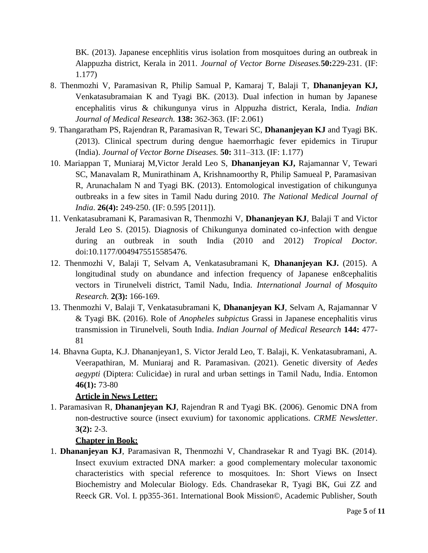BK. (2013). Japanese encephlitis virus isolation from mosquitoes during an outbreak in Alappuzha district, Kerala in 2011. *Journal of Vector Borne Diseases.***50:**229-231. (IF: 1.177)

- 8. Thenmozhi V, Paramasivan R, Philip Samual P, Kamaraj T, Balaji T, **Dhananjeyan KJ,**  Venkatasubramaian K and Tyagi BK. (2013). Dual infection in human by Japanese encephalitis virus & chikungunya virus in Alppuzha district, Kerala, India. *Indian Journal of Medical Research.* **138:** 362-363. (IF: 2.061)
- 9. Thangaratham PS, Rajendran R, Paramasivan R, Tewari SC, **Dhananjeyan KJ** and Tyagi BK. (2013). Clinical spectrum during dengue haemorrhagic fever epidemics in Tirupur (India). *Journal of Vector Borne Diseases.* **50:** 311–313. (IF: 1.177)
- 10. Mariappan T, Muniaraj M,Victor Jerald Leo S, **Dhananjeyan KJ,** Rajamannar V, Tewari SC, Manavalam R, Munirathinam A, Krishnamoorthy R, Philip Samueal P, Paramasivan R, Arunachalam N and Tyagi BK. (2013). Entomological investigation of chikungunya outbreaks in a few sites in Tamil Nadu during 2010. *The National Medical Journal of India*. **26(4):** 249-250. (IF: 0.595 [2011]).
- 11. Venkatasubramani K, Paramasivan R, Thenmozhi V, **Dhananjeyan KJ**, Balaji T and Victor Jerald Leo S. (2015). Diagnosis of Chikungunya dominated co-infection with dengue during an outbreak in south India (2010 and 2012) *Tropical Doctor.*  doi:10.1177/0049475515585476.
- 12. Thenmozhi V, Balaji T, Selvam A, Venkatasubramani K, **Dhananjeyan KJ.** (2015). A longitudinal study on abundance and infection frequency of Japanese en8cephalitis vectors in Tirunelveli district, Tamil Nadu, India. *International Journal of Mosquito Research.* **2(3):** 166-169.
- 13. Thenmozhi V, Balaji T, Venkatasubramani K, **Dhananjeyan KJ**, Selvam A, Rajamannar V & Tyagi BK. (2016). Role of *Anopheles subpictus* Grassi in Japanese encephalitis virus transmission in Tirunelveli, South India. *Indian Journal of Medical Research* **144:** 477- 81
- 14. Bhavna Gupta, K.J. Dhananjeyan1, S. Victor Jerald Leo, T. Balaji, K. Venkatasubramani, A. Veerapathiran, M. Muniaraj and R. Paramasivan. (2021). Genetic diversity of *Aedes aegypti* (Diptera: Culicidae) in rural and urban settings in Tamil Nadu, India. Entomon **46(1):** 73-80

### **Article in News Letter:**

1. Paramasivan R, **Dhananjeyan KJ**, Rajendran R and Tyagi BK. (2006). Genomic DNA from non-destructive source (insect exuvium) for taxonomic applications. *CRME Newsletter*. **3(2):** 2-3.

### **Chapter in Book:**

1. **Dhananjeyan KJ**, Paramasivan R, Thenmozhi V, Chandrasekar R and Tyagi BK. (2014). Insect exuvium extracted DNA marker: a good complementary molecular taxonomic characteristics with special reference to mosquitoes. In: Short Views on Insect Biochemistry and Molecular Biology. Eds. Chandrasekar R, Tyagi BK, Gui ZZ and Reeck GR. Vol. I. pp355-361. International Book Mission©, Academic Publisher, South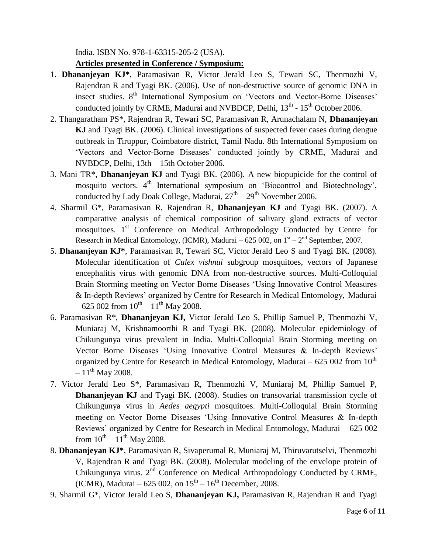India. ISBN No. 978-1-63315-205-2 (USA).

#### **Articles presented in Conference / Symposium:**

- 1. **Dhananjeyan KJ\***, Paramasivan R, Victor Jerald Leo S, Tewari SC, Thenmozhi V, Rajendran R and Tyagi BK. (2006). Use of non-destructive source of genomic DNA in insect studies. 8<sup>th</sup> International Symposium on 'Vectors and Vector-Borne Diseases' conducted jointly by CRME, Madurai and NVBDCP, Delhi,  $13<sup>th</sup>$  -  $15<sup>th</sup>$  October 2006.
- 2. Thangaratham PS\*, Rajendran R, Tewari SC, Paramasivan R, Arunachalam N, **Dhananjeyan KJ** and Tyagi BK. (2006). Clinical investigations of suspected fever cases during dengue outbreak in Tiruppur, Coimbatore district, Tamil Nadu. 8th International Symposium on "Vectors and Vector-Borne Diseases" conducted jointly by CRME, Madurai and NVBDCP, Delhi, 13th – 15th October 2006.
- 3. Mani TR\*, **Dhananjeyan KJ** and Tyagi BK. (2006). A new biopupicide for the control of mosquito vectors. 4<sup>th</sup> International symposium on 'Biocontrol and Biotechnology', conducted by Lady Doak College, Madurai,  $27<sup>th</sup> - 29<sup>th</sup>$  November 2006.
- 4. Sharmil G\*, Paramasivan R, Rajendran R, **Dhananjeyan KJ** and Tyagi BK. (2007). A comparative analysis of chemical composition of salivary gland extracts of vector mosquitoes.  $1<sup>st</sup>$  Conference on Medical Arthropodology Conducted by Centre for Research in Medical Entomology, (ICMR), Madurai – 625 002, on  $1<sup>st</sup> - 2<sup>nd</sup>$  September, 2007.
- 5. **Dhananjeyan KJ\***, Paramasivan R, Tewari SC, Victor Jerald Leo S and Tyagi BK. (2008). Molecular identification of *Culex vishnui* subgroup mosquitoes, vectors of Japanese encephalitis virus with genomic DNA from non-destructive sources. Multi-Colloquial Brain Storming meeting on Vector Borne Diseases "Using Innovative Control Measures & In-depth Reviews" organized by Centre for Research in Medical Entomology, Madurai  $-625002$  from  $10^{th} - 11^{th}$  May 2008.
- 6. Paramasivan R\*, **Dhananjeyan KJ,** Victor Jerald Leo S, Phillip Samuel P, Thenmozhi V, Muniaraj M, Krishnamoorthi R and Tyagi BK. (2008). Molecular epidemiology of Chikungunya virus prevalent in India. Multi-Colloquial Brain Storming meeting on Vector Borne Diseases "Using Innovative Control Measures & In-depth Reviews" organized by Centre for Research in Medical Entomology, Madurai – 625 002 from  $10^{th}$  $-11^{th}$  May 2008.
- 7. Victor Jerald Leo S\*, Paramasivan R, Thenmozhi V, Muniaraj M, Phillip Samuel P, **Dhananjeyan KJ** and Tyagi BK. (2008). Studies on transovarial transmission cycle of Chikungunya virus in *Aedes aegypti* mosquitoes. Multi-Colloquial Brain Storming meeting on Vector Borne Diseases "Using Innovative Control Measures & In-depth Reviews" organized by Centre for Research in Medical Entomology, Madurai – 625 002 from  $10^{th} - 11^{th}$  May 2008.
- 8. **Dhananjeyan KJ\***, Paramasivan R, Sivaperumal R, Muniaraj M, Thiruvarutselvi, Thenmozhi V, Rajendran R and Tyagi BK. (2008). Molecular modeling of the envelope protein of Chikungunya virus.  $2<sup>nd</sup>$  Conference on Medical Arthropodology Conducted by CRME, (ICMR), Madurai – 625 002, on  $15^{th} - 16^{th}$  December, 2008.
- 9. Sharmil G\*, Victor Jerald Leo S, **Dhananjeyan KJ,** Paramasivan R, Rajendran R and Tyagi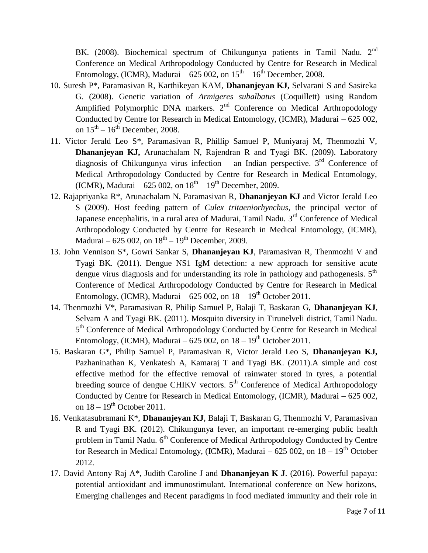BK. (2008). Biochemical spectrum of Chikungunya patients in Tamil Nadu. 2<sup>nd</sup> Conference on Medical Arthropodology Conducted by Centre for Research in Medical Entomology, (ICMR), Madurai – 625 002, on  $15<sup>th</sup> - 16<sup>th</sup>$  December, 2008.

- 10. Suresh P\*, Paramasivan R, Karthikeyan KAM, **Dhananjeyan KJ,** Selvarani S and Sasireka G. (2008). Genetic variation of *Armigeres subalbatus* (Coquillett) using Random Amplified Polymorphic DNA markers.  $2<sup>nd</sup>$  Conference on Medical Arthropodology Conducted by Centre for Research in Medical Entomology, (ICMR), Madurai – 625 002, on  $15^{th} - 16^{th}$  December, 2008.
- 11. Victor Jerald Leo S\*, Paramasivan R, Phillip Samuel P, Muniyaraj M, Thenmozhi V, **Dhananjeyan KJ,** Arunachalam N, Rajendran R and Tyagi BK. (2009). Laboratory diagnosis of Chikungunya virus infection – an Indian perspective.  $3<sup>rd</sup>$  Conference of Medical Arthropodology Conducted by Centre for Research in Medical Entomology, (ICMR), Madurai – 625 002, on  $18^{th} - 19^{th}$  December, 2009.
- 12. Rajapriyanka R\*, Arunachalam N, Paramasivan R, **Dhananjeyan KJ** and Victor Jerald Leo S (2009). Host feeding pattern of *Culex tritaeniorhynchus*, the principal vector of Japanese encephalitis, in a rural area of Madurai, Tamil Nadu. 3<sup>rd</sup> Conference of Medical Arthropodology Conducted by Centre for Research in Medical Entomology, (ICMR), Madurai – 625 002, on  $18^{th}$  –  $19^{th}$  December, 2009.
- 13. John Vennison S\*, Gowri Sankar S, **Dhananjeyan KJ**, Paramasivan R, Thenmozhi V and Tyagi BK. (2011). Dengue NS1 IgM detection: a new approach for sensitive acute dengue virus diagnosis and for understanding its role in pathology and pathogenesis. 5<sup>th</sup> Conference of Medical Arthropodology Conducted by Centre for Research in Medical Entomology, (ICMR), Madurai – 625 002, on  $18-19<sup>th</sup>$  October 2011.
- 14. Thenmozhi V\*, Paramasivan R, Philip Samuel P, Balaji T, Baskaran G, **Dhananjeyan KJ**, Selvam A and Tyagi BK. (2011). Mosquito diversity in Tirunelveli district, Tamil Nadu. 5<sup>th</sup> Conference of Medical Arthropodology Conducted by Centre for Research in Medical Entomology, (ICMR), Madurai – 625 002, on  $18 - 19<sup>th</sup>$  October 2011.
- 15. Baskaran G\*, Philip Samuel P, Paramasivan R, Victor Jerald Leo S, **Dhananjeyan KJ,**  Pazhaninathan K, Venkatesh A, Kamaraj T and Tyagi BK. (2011).A simple and cost effective method for the effective removal of rainwater stored in tyres, a potential breeding source of dengue CHIKV vectors.  $5<sup>th</sup>$  Conference of Medical Arthropodology Conducted by Centre for Research in Medical Entomology, (ICMR), Madurai – 625 002, on  $18 - 19<sup>th</sup>$  October 2011.
- 16. Venkatasubramani K\*, **Dhananjeyan KJ**, Balaji T, Baskaran G, Thenmozhi V, Paramasivan R and Tyagi BK. (2012). Chikungunya fever, an important re-emerging public health problem in Tamil Nadu.  $6<sup>th</sup>$  Conference of Medical Arthropodology Conducted by Centre for Research in Medical Entomology, (ICMR), Madurai – 625 002, on  $18 - 19<sup>th</sup>$  October 2012.
- 17. David Antony Raj A\*, Judith Caroline J and **Dhananjeyan K J**. (2016). Powerful papaya: potential antioxidant and immunostimulant. International conference on New horizons, Emerging challenges and Recent paradigms in food mediated immunity and their role in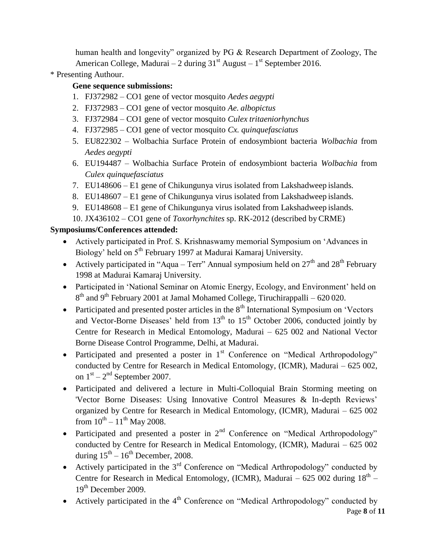human health and longevity" organized by PG & Research Department of Zoology, The American College, Madurai – 2 during  $31<sup>st</sup>$  August –  $1<sup>st</sup>$  September 2016.

\* Presenting Authour.

## **Gene sequence submissions:**

- 1. FJ372982 CO1 gene of vector mosquito *Aedes aegypti*
- 2. FJ372983 CO1 gene of vector mosquito *Ae. albopictus*
- 3. FJ372984 CO1 gene of vector mosquito *Culex tritaeniorhynchus*
- 4. FJ372985 CO1 gene of vector mosquito *Cx. quinquefasciatus*
- 5. EU822302 Wolbachia Surface Protein of endosymbiont bacteria *Wolbachia* from *Aedes aegypti*
- 6. EU194487 Wolbachia Surface Protein of endosymbiont bacteria *Wolbachia* from *Culex quinquefasciatus*
- 7. EU148606 E1 gene of Chikungunya virus isolated from Lakshadweep islands.
- 8. EU148607 E1 gene of Chikungunya virus isolated from Lakshadweep islands.
- 9. EU148608 E1 gene of Chikungunya virus isolated from Lakshadweep islands.
- 10. JX436102 CO1 gene of *Toxorhynchites* sp. RK-2012 (described byCRME)

## **Symposiums/Conferences attended:**

- Actively participated in Prof. S. Krishnaswamy memorial Symposium on "Advances in Biology' held on 5<sup>th</sup> February 1997 at Madurai Kamaraj University.
- Actively participated in "Aqua Terr" Annual symposium held on  $27<sup>th</sup>$  and  $28<sup>th</sup>$  February 1998 at Madurai Kamaraj University.
- Participated in 'National Seminar on Atomic Energy, Ecology, and Environment' held on  $8<sup>th</sup>$  and 9<sup>th</sup> February 2001 at Jamal Mohamed College, Tiruchirappalli – 620 020.
- Participated and presented poster articles in the  $8<sup>th</sup>$  International Symposium on 'Vectors' and Vector-Borne Diseases' held from  $13<sup>th</sup>$  to  $15<sup>th</sup>$  October 2006, conducted jointly by Centre for Research in Medical Entomology, Madurai – 625 002 and National Vector Borne Disease Control Programme, Delhi, at Madurai.
- Participated and presented a poster in  $1<sup>st</sup>$  Conference on "Medical Arthropodology" conducted by Centre for Research in Medical Entomology, (ICMR), Madurai – 625 002, on  $1<sup>st</sup> - 2<sup>nd</sup>$  September 2007.
- Participated and delivered a lecture in Multi-Colloquial Brain Storming meeting on 'Vector Borne Diseases: Using Innovative Control Measures & In-depth Reviews" organized by Centre for Research in Medical Entomology, (ICMR), Madurai – 625 002 from  $10^{th} - 11^{th}$  May 2008.
- Participated and presented a poster in  $2<sup>nd</sup>$  Conference on "Medical Arthropodology" conducted by Centre for Research in Medical Entomology, (ICMR), Madurai – 625 002 during  $15<sup>th</sup> - 16<sup>th</sup>$  December, 2008.
- Actively participated in the  $3<sup>rd</sup>$  Conference on "Medical Arthropodology" conducted by Centre for Research in Medical Entomology, (ICMR), Madurai  $-625002$  during  $18<sup>th</sup> -$ 19<sup>th</sup> December 2009.
- Actively participated in the  $4<sup>th</sup>$  Conference on "Medical Arthropodology" conducted by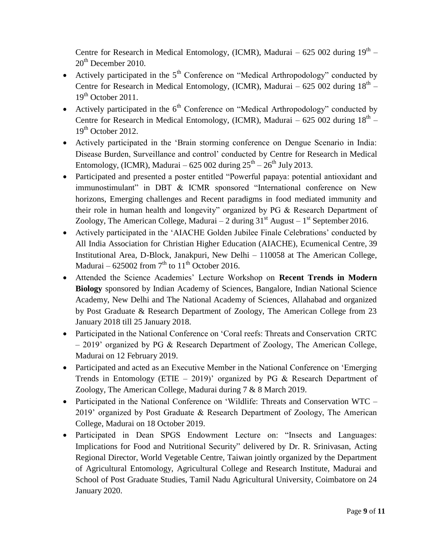Centre for Research in Medical Entomology, (ICMR), Madurai  $-625002$  during  $19<sup>th</sup>$  - $20<sup>th</sup>$  December 2010.

- Actively participated in the  $5<sup>th</sup>$  Conference on "Medical Arthropodology" conducted by Centre for Research in Medical Entomology, (ICMR), Madurai  $-625002$  during  $18<sup>th</sup> 19<sup>th</sup>$  October 2011.
- Actively participated in the  $6<sup>th</sup>$  Conference on "Medical Arthropodology" conducted by Centre for Research in Medical Entomology, (ICMR), Madurai  $-625002$  during  $18<sup>th</sup> 19<sup>th</sup>$  October 2012.
- Actively participated in the "Brain storming conference on Dengue Scenario in India: Disease Burden, Surveillance and control" conducted by Centre for Research in Medical Entomology, (ICMR), Madurai – 625 002 during  $25<sup>th</sup> - 26<sup>th</sup>$  July 2013.
- Participated and presented a poster entitled "Powerful papaya: potential antioxidant and immunostimulant" in DBT & ICMR sponsored "International conference on New horizons, Emerging challenges and Recent paradigms in food mediated immunity and their role in human health and longevity" organized by PG & Research Department of Zoology, The American College, Madurai  $-2$  during  $31<sup>st</sup>$  August  $-1<sup>st</sup>$  September 2016.
- Actively participated in the 'AIACHE Golden Jubilee Finale Celebrations' conducted by All India Association for Christian Higher Education (AIACHE), Ecumenical Centre, 39 Institutional Area, D-Block, Janakpuri, New Delhi – 110058 at The American College, Madurai – 625002 from  $7<sup>th</sup>$  to  $11<sup>th</sup>$  October 2016.
- Attended the Science Academies" Lecture Workshop on **Recent Trends in Modern Biology** sponsored by Indian Academy of Sciences, Bangalore, Indian National Science Academy, New Delhi and The National Academy of Sciences, Allahabad and organized by Post Graduate & Research Department of Zoology, The American College from 23 January 2018 till 25 January 2018.
- Participated in the National Conference on "Coral reefs: Threats and Conservation CRTC – 2019" organized by PG & Research Department of Zoology, The American College, Madurai on 12 February 2019.
- Participated and acted as an Executive Member in the National Conference on 'Emerging Trends in Entomology (ETIE  $-$  2019)' organized by PG & Research Department of Zoology, The American College, Madurai during 7 & 8 March 2019.
- Participated in the National Conference on 'Wildlife: Threats and Conservation WTC 2019" organized by Post Graduate & Research Department of Zoology, The American College, Madurai on 18 October 2019.
- Participated in Dean SPGS Endowment Lecture on: "Insects and Languages: Implications for Food and Nutritional Security" delivered by Dr. R. Srinivasan, Acting Regional Director, World Vegetable Centre, Taiwan jointly organized by the Department of Agricultural Entomology, Agricultural College and Research Institute, Madurai and School of Post Graduate Studies, Tamil Nadu Agricultural University, Coimbatore on 24 January 2020.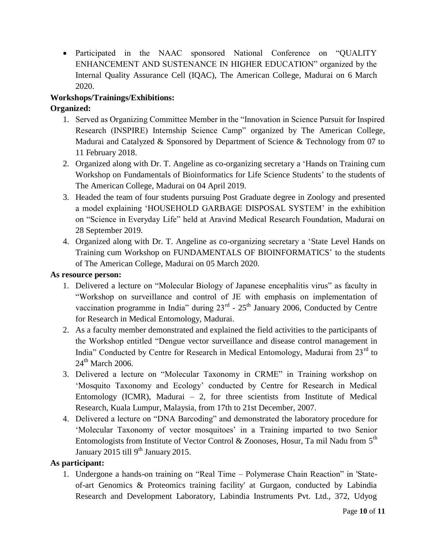Participated in the NAAC sponsored National Conference on "QUALITY ENHANCEMENT AND SUSTENANCE IN HIGHER EDUCATION" organized by the Internal Quality Assurance Cell (IQAC), The American College, Madurai on 6 March 2020.

# **Workshops/Trainings/Exhibitions:**

# **Organized:**

- 1. Served as Organizing Committee Member in the "Innovation in Science Pursuit for Inspired Research (INSPIRE) Internship Science Camp" organized by The American College, Madurai and Catalyzed & Sponsored by Department of Science & Technology from 07 to 11 February 2018.
- 2. Organized along with Dr. T. Angeline as co-organizing secretary a "Hands on Training cum Workshop on Fundamentals of Bioinformatics for Life Science Students' to the students of The American College, Madurai on 04 April 2019.
- 3. Headed the team of four students pursuing Post Graduate degree in Zoology and presented a model explaining "HOUSEHOLD GARBAGE DISPOSAL SYSTEM" in the exhibition on "Science in Everyday Life" held at Aravind Medical Research Foundation, Madurai on 28 September 2019.
- 4. Organized along with Dr. T. Angeline as co-organizing secretary a "State Level Hands on Training cum Workshop on FUNDAMENTALS OF BIOINFORMATICS" to the students of The American College, Madurai on 05 March 2020.

# **As resource person:**

- 1. Delivered a lecture on "Molecular Biology of Japanese encephalitis virus" as faculty in "Workshop on surveillance and control of JE with emphasis on implementation of vaccination programme in India" during  $23<sup>rd</sup>$  -  $25<sup>th</sup>$  January 2006, Conducted by Centre for Research in Medical Entomology, Madurai.
- 2. As a faculty member demonstrated and explained the field activities to the participants of the Workshop entitled "Dengue vector surveillance and disease control management in India" Conducted by Centre for Research in Medical Entomology, Madurai from  $23<sup>rd</sup>$  to  $24<sup>th</sup>$  March 2006.
- 3. Delivered a lecture on "Molecular Taxonomy in CRME" in Training workshop on "Mosquito Taxonomy and Ecology" conducted by Centre for Research in Medical Entomology (ICMR), Madurai  $-2$ , for three scientists from Institute of Medical Research, Kuala Lumpur, Malaysia, from 17th to 21st December, 2007.
- 4. Delivered a lecture on "DNA Barcoding" and demonstrated the laboratory procedure for "Molecular Taxonomy of vector mosquitoes" in a Training imparted to two Senior Entomologists from Institute of Vector Control & Zoonoses, Hosur, Ta mil Nadu from  $5^{\text{th}}$ January 2015 till  $9<sup>th</sup>$  January 2015.

# **As participant:**

1. Undergone a hands-on training on "Real Time – Polymerase Chain Reaction" in 'Stateof-art Genomics & Proteomics training facility' at Gurgaon, conducted by Labindia Research and Development Laboratory, Labindia Instruments Pvt. Ltd., 372, Udyog